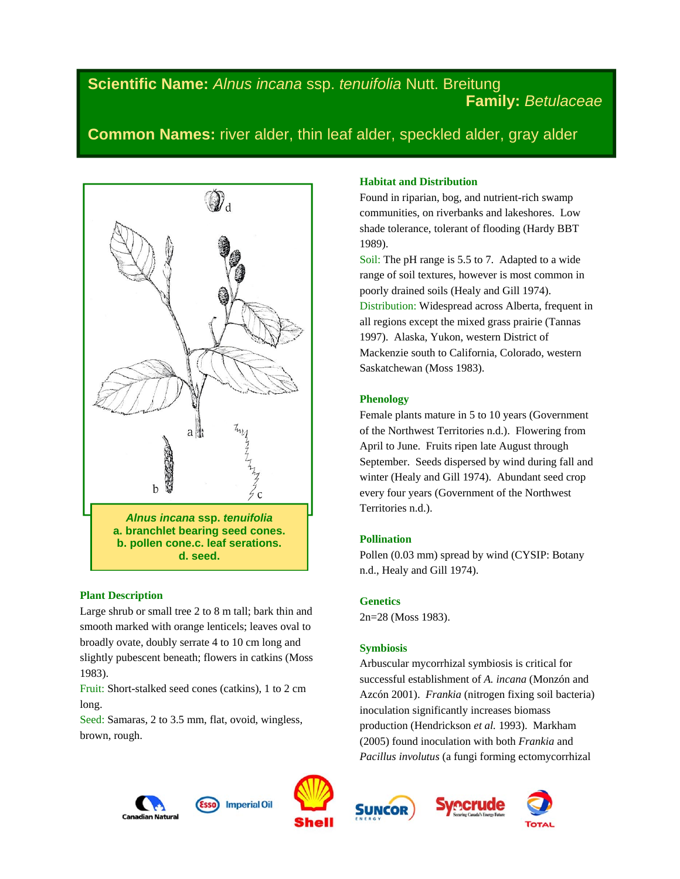# **Scientific Name:** *Alnus incana* ssp. *tenuifolia* Nutt. Breitung  **Family:** *Betulaceae*

# **Common Names:** river alder, thin leaf alder, speckled alder, gray alder



# **Plant Description**

Large shrub or small tree 2 to 8 m tall; bark thin and smooth marked with orange lenticels; leaves oval to broadly ovate, doubly serrate 4 to 10 cm long and slightly pubescent beneath; flowers in catkins (Moss 1983).

Fruit: Short-stalked seed cones (catkins), 1 to 2 cm long.

Seed: Samaras, 2 to 3.5 mm, flat, ovoid, wingless, brown, rough.

# **Habitat and Distribution**

Found in riparian, bog, and nutrient-rich swamp communities, on riverbanks and lakeshores. Low shade tolerance, tolerant of flooding (Hardy BBT 1989).

Soil: The pH range is 5.5 to 7. Adapted to a wide range of soil textures, however is most common in poorly drained soils (Healy and Gill 1974). Distribution: Widespread across Alberta, frequent in all regions except the mixed grass prairie (Tannas 1997). Alaska, Yukon, western District of Mackenzie south to California, Colorado, western Saskatchewan (Moss 1983).

# **Phenology**

Female plants mature in 5 to 10 years (Government of the Northwest Territories n.d.). Flowering from April to June. Fruits ripen late August through September. Seeds dispersed by wind during fall and winter (Healy and Gill 1974). Abundant seed crop every four years (Government of the Northwest Territories n.d.).

# **Pollination**

Pollen (0.03 mm) spread by wind (CYSIP: Botany n.d., Healy and Gill 1974).

# **Genetics**

2n=28 (Moss 1983).

# **Symbiosis**

Arbuscular mycorrhizal symbiosis is critical for successful establishment of *A. incana* (Monzón and Azcón 2001). *Frankia* (nitrogen fixing soil bacteria) inoculation significantly increases biomass production (Hendrickson *et al.* 1993). Markham (2005) found inoculation with both *Frankia* and *Pacillus involutus* (a fungi forming ectomycorrhizal





**Imperial Oil** 



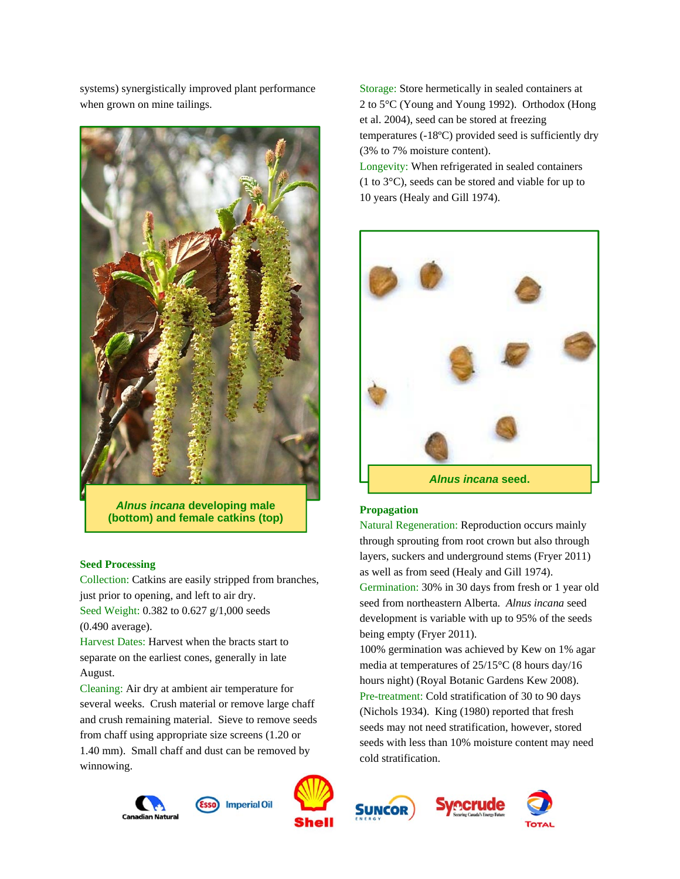systems) synergistically improved plant performance when grown on mine tailings.



*Alnus incana* **developing male (bottom) and female catkins (top)** 

## **Seed Processing**

Collection: Catkins are easily stripped from branches, just prior to opening, and left to air dry. Seed Weight: 0.382 to 0.627 g/1,000 seeds

(0.490 average).

Harvest Dates: Harvest when the bracts start to separate on the earliest cones, generally in late August.

Cleaning: Air dry at ambient air temperature for several weeks. Crush material or remove large chaff and crush remaining material. Sieve to remove seeds from chaff using appropriate size screens (1.20 or 1.40 mm). Small chaff and dust can be removed by winnowing.

**Imperial Oil** 





Storage: Store hermetically in sealed containers at 2 to 5°C (Young and Young 1992). Orthodox (Hong et al. 2004), seed can be stored at freezing temperatures (-18ºC) provided seed is sufficiently dry (3% to 7% moisture content). Longevity: When refrigerated in sealed containers

(1 to 3°C), seeds can be stored and viable for up to 10 years (Healy and Gill 1974).



## **Propagation**

Natural Regeneration: Reproduction occurs mainly through sprouting from root crown but also through layers, suckers and underground stems (Fryer 2011) as well as from seed (Healy and Gill 1974). Germination: 30% in 30 days from fresh or 1 year old seed from northeastern Alberta. *Alnus incana* seed development is variable with up to 95% of the seeds being empty (Fryer 2011).

100% germination was achieved by Kew on 1% agar media at temperatures of 25/15°C (8 hours day/16 hours night) (Royal Botanic Gardens Kew 2008). Pre-treatment: Cold stratification of 30 to 90 days (Nichols 1934). King (1980) reported that fresh seeds may not need stratification, however, stored seeds with less than 10% moisture content may need cold stratification.



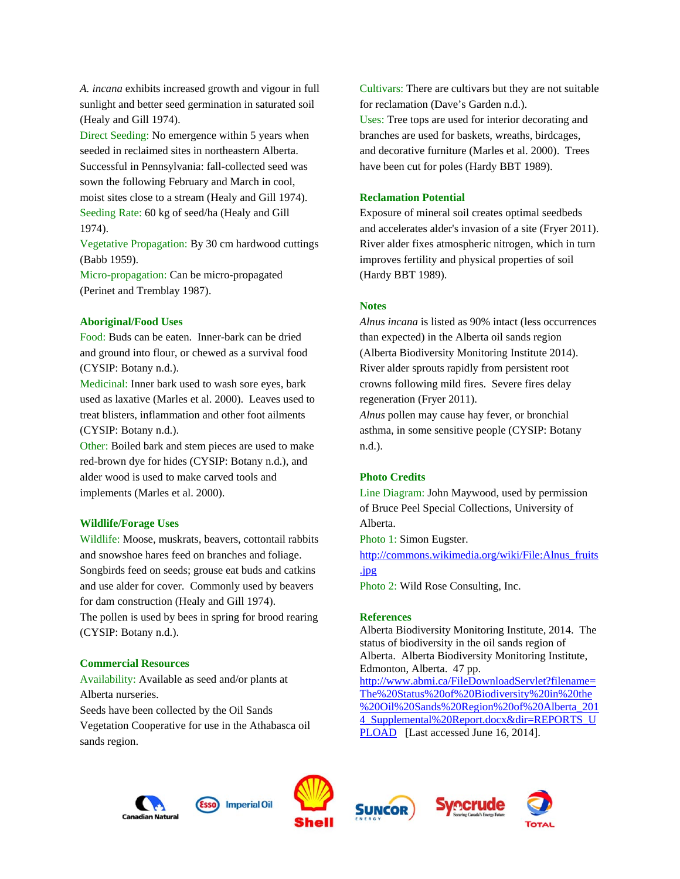*A. incana* exhibits increased growth and vigour in full sunlight and better seed germination in saturated soil (Healy and Gill 1974).

Direct Seeding: No emergence within 5 years when seeded in reclaimed sites in northeastern Alberta. Successful in Pennsylvania: fall-collected seed was sown the following February and March in cool, moist sites close to a stream (Healy and Gill 1974). Seeding Rate: 60 kg of seed/ha (Healy and Gill 1974).

Vegetative Propagation: By 30 cm hardwood cuttings (Babb 1959).

Micro-propagation: Can be micro-propagated (Perinet and Tremblay 1987).

#### **Aboriginal/Food Uses**

Food: Buds can be eaten. Inner-bark can be dried and ground into flour, or chewed as a survival food (CYSIP: Botany n.d.).

Medicinal: Inner bark used to wash sore eyes, bark used as laxative (Marles et al. 2000). Leaves used to treat blisters, inflammation and other foot ailments (CYSIP: Botany n.d.).

Other: Boiled bark and stem pieces are used to make red-brown dye for hides (CYSIP: Botany n.d.), and alder wood is used to make carved tools and implements (Marles et al. 2000).

#### **Wildlife/Forage Uses**

Wildlife: Moose, muskrats, beavers, cottontail rabbits and snowshoe hares feed on branches and foliage. Songbirds feed on seeds; grouse eat buds and catkins and use alder for cover. Commonly used by beavers for dam construction (Healy and Gill 1974). The pollen is used by bees in spring for brood rearing (CYSIP: Botany n.d.).

#### **Commercial Resources**

Availability: Available as seed and/or plants at Alberta nurseries.

Seeds have been collected by the Oil Sands Vegetation Cooperative for use in the Athabasca oil sands region.

Cultivars: There are cultivars but they are not suitable for reclamation (Dave's Garden n.d.). Uses: Tree tops are used for interior decorating and branches are used for baskets, wreaths, birdcages, and decorative furniture (Marles et al. 2000). Trees have been cut for poles (Hardy BBT 1989).

## **Reclamation Potential**

Exposure of mineral soil creates optimal seedbeds and accelerates alder's invasion of a site (Fryer 2011). River alder fixes atmospheric nitrogen, which in turn improves fertility and physical properties of soil (Hardy BBT 1989).

## **Notes**

*Alnus incana* is listed as 90% intact (less occurrences than expected) in the Alberta oil sands region (Alberta Biodiversity Monitoring Institute 2014). River alder sprouts rapidly from persistent root crowns following mild fires. Severe fires delay regeneration (Fryer 2011).

*Alnus* pollen may cause hay fever, or bronchial asthma, in some sensitive people (CYSIP: Botany n.d.).

### **Photo Credits**

Line Diagram: John Maywood, used by permission of Bruce Peel Special Collections, University of Alberta.

Photo 1: Simon Eugster.

http://commons.wikimedia.org/wiki/File:Alnus\_fruits .jpg

Photo 2: Wild Rose Consulting, Inc.

#### **References**

Alberta Biodiversity Monitoring Institute, 2014. The status of biodiversity in the oil sands region of Alberta. Alberta Biodiversity Monitoring Institute, Edmonton, Alberta. 47 pp. http://www.abmi.ca/FileDownloadServlet?filename= The%20Status%20of%20Biodiversity%20in%20the %20Oil%20Sands%20Region%20of%20Alberta\_201 4 Supplemental%20Report.docx&dir=REPORTS\_U PLOAD [Last accessed June 16, 2014].











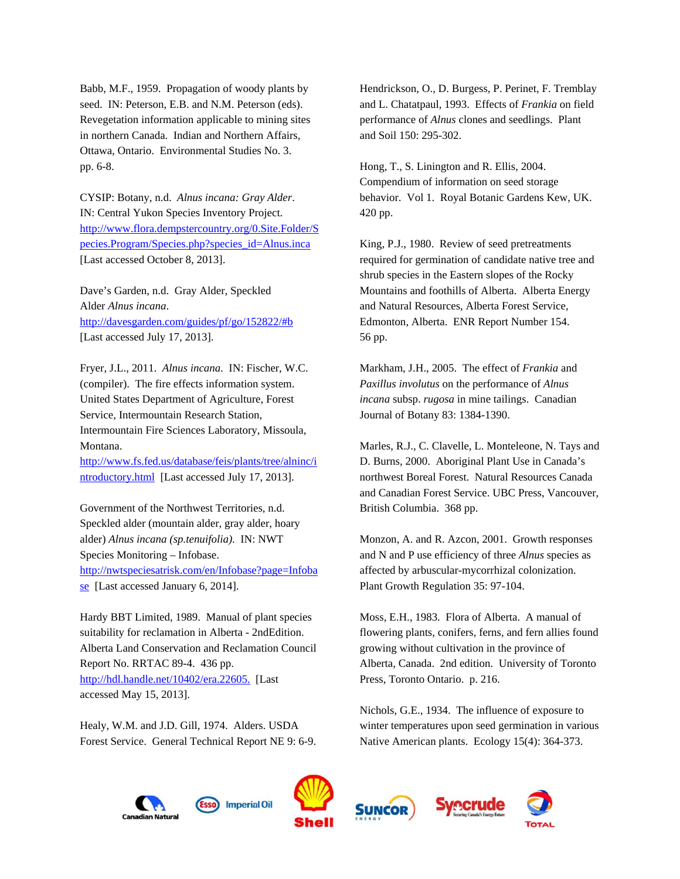Babb, M.F., 1959. Propagation of woody plants by seed. IN: Peterson, E.B. and N.M. Peterson (eds). Revegetation information applicable to mining sites in northern Canada. Indian and Northern Affairs, Ottawa, Ontario. Environmental Studies No. 3. pp. 6-8.

CYSIP: Botany, n.d. *Alnus incana: Gray Alder*. IN: Central Yukon Species Inventory Project. http://www.flora.dempstercountry.org/0.Site.Folder/S pecies.Program/Species.php?species\_id=Alnus.inca [Last accessed October 8, 2013].

Dave's Garden, n.d. Gray Alder, Speckled Alder *Alnus incana*. http://davesgarden.com/guides/pf/go/152822/#b [Last accessed July 17, 2013].

Fryer, J.L., 2011. *Alnus incana*. IN: Fischer, W.C. (compiler). The fire effects information system. United States Department of Agriculture, Forest Service, Intermountain Research Station, Intermountain Fire Sciences Laboratory, Missoula, Montana.

http://www.fs.fed.us/database/feis/plants/tree/alninc/i ntroductory.html [Last accessed July 17, 2013].

Government of the Northwest Territories, n.d. Speckled alder (mountain alder, gray alder, hoary alder) *Alnus incana (sp.tenuifolia)*. IN: NWT Species Monitoring – Infobase. http://nwtspeciesatrisk.com/en/Infobase?page=Infoba se [Last accessed January 6, 2014].

Hardy BBT Limited, 1989. Manual of plant species suitability for reclamation in Alberta - 2ndEdition. Alberta Land Conservation and Reclamation Council Report No. RRTAC 89-4. 436 pp. http://hdl.handle.net/10402/era.22605. [Last accessed May 15, 2013].

Healy, W.M. and J.D. Gill, 1974. Alders. USDA Forest Service. General Technical Report NE 9: 6-9.

Hendrickson, O., D. Burgess, P. Perinet, F. Tremblay and L. Chatatpaul, 1993. Effects of *Frankia* on field performance of *Alnus* clones and seedlings. Plant and Soil 150: 295-302.

Hong, T., S. Linington and R. Ellis, 2004. Compendium of information on seed storage behavior. Vol 1. Royal Botanic Gardens Kew, UK. 420 pp.

King, P.J., 1980. Review of seed pretreatments required for germination of candidate native tree and shrub species in the Eastern slopes of the Rocky Mountains and foothills of Alberta. Alberta Energy and Natural Resources, Alberta Forest Service, Edmonton, Alberta. ENR Report Number 154. 56 pp.

Markham, J.H., 2005. The effect of *Frankia* and *Paxillus involutus* on the performance of *Alnus incana* subsp. *rugosa* in mine tailings. Canadian Journal of Botany 83: 1384-1390.

Marles, R.J., C. Clavelle, L. Monteleone, N. Tays and D. Burns, 2000. Aboriginal Plant Use in Canada's northwest Boreal Forest. Natural Resources Canada and Canadian Forest Service. UBC Press, Vancouver, British Columbia. 368 pp.

Monzon, A. and R. Azcon, 2001. Growth responses and N and P use efficiency of three *Alnus* species as affected by arbuscular-mycorrhizal colonization. Plant Growth Regulation 35: 97-104.

Moss, E.H., 1983. Flora of Alberta. A manual of flowering plants, conifers, ferns, and fern allies found growing without cultivation in the province of Alberta, Canada. 2nd edition. University of Toronto Press, Toronto Ontario. p. 216.

Nichols, G.E., 1934. The influence of exposure to winter temperatures upon seed germination in various Native American plants. Ecology 15(4): 364-373.